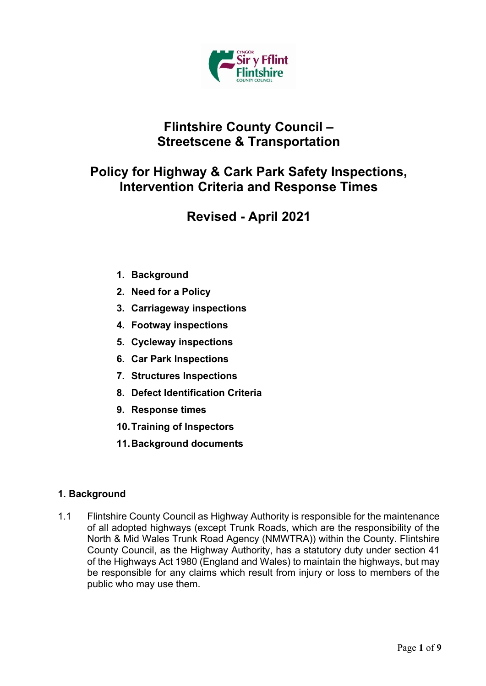

# **Flintshire County Council – Streetscene & Transportation**

# **Policy for Highway & Cark Park Safety Inspections, Intervention Criteria and Response Times**

# **Revised - April 2021**

- **1. Background**
- **2. Need for a Policy**
- **3. Carriageway inspections**
- **4. Footway inspections**
- **5. Cycleway inspections**
- **6. Car Park Inspections**
- **7. Structures Inspections**
- **8. Defect Identification Criteria**
- **9. Response times**
- **10.Training of Inspectors**
- **11.Background documents**

## **1. Background**

1.1 Flintshire County Council as Highway Authority is responsible for the maintenance of all adopted highways (except Trunk Roads, which are the responsibility of the North & Mid Wales Trunk Road Agency (NMWTRA)) within the County. Flintshire County Council, as the Highway Authority, has a statutory duty under section 41 of the Highways Act 1980 (England and Wales) to maintain the highways, but may be responsible for any claims which result from injury or loss to members of the public who may use them.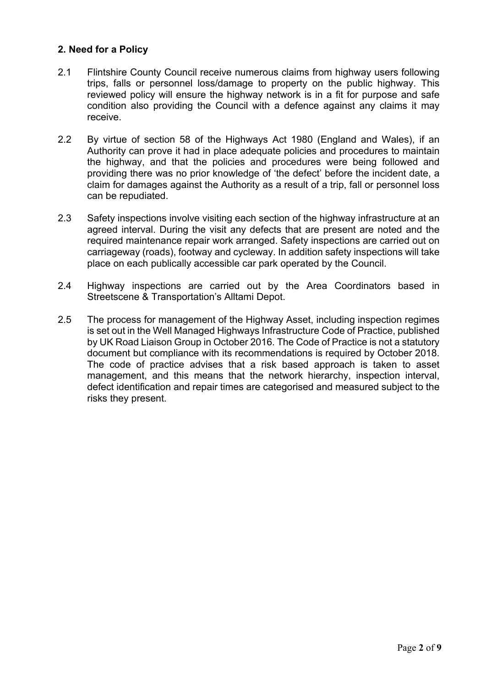## **2. Need for a Policy**

- 2.1 Flintshire County Council receive numerous claims from highway users following trips, falls or personnel loss/damage to property on the public highway. This reviewed policy will ensure the highway network is in a fit for purpose and safe condition also providing the Council with a defence against any claims it may receive.
- 2.2 By virtue of section 58 of the Highways Act 1980 (England and Wales), if an Authority can prove it had in place adequate policies and procedures to maintain the highway, and that the policies and procedures were being followed and providing there was no prior knowledge of 'the defect' before the incident date, a claim for damages against the Authority as a result of a trip, fall or personnel loss can be repudiated.
- 2.3 Safety inspections involve visiting each section of the highway infrastructure at an agreed interval. During the visit any defects that are present are noted and the required maintenance repair work arranged. Safety inspections are carried out on carriageway (roads), footway and cycleway. In addition safety inspections will take place on each publically accessible car park operated by the Council.
- 2.4 Highway inspections are carried out by the Area Coordinators based in Streetscene & Transportation's Alltami Depot.
- 2.5 The process for management of the Highway Asset, including inspection regimes is set out in the Well Managed Highways Infrastructure Code of Practice, published by UK Road Liaison Group in October 2016. The Code of Practice is not a statutory document but compliance with its recommendations is required by October 2018. The code of practice advises that a risk based approach is taken to asset management, and this means that the network hierarchy, inspection interval, defect identification and repair times are categorised and measured subject to the risks they present.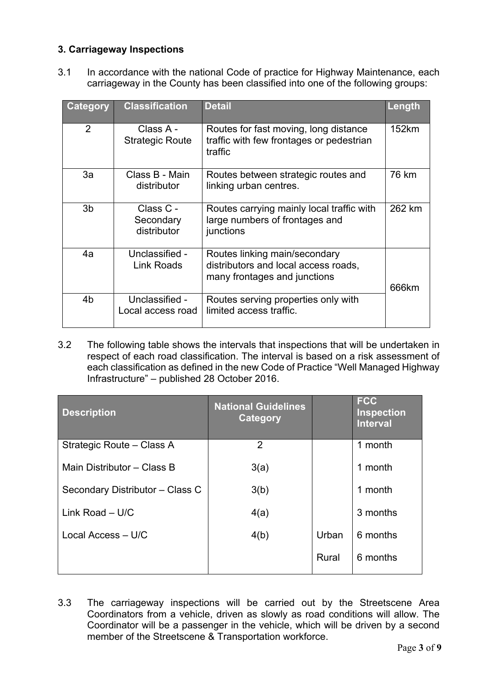## **3. Carriageway Inspections**

3.1 In accordance with the national Code of practice for Highway Maintenance, each carriageway in the County has been classified into one of the following groups:

| <b>Category</b> | <b>Classification</b>                 | <b>Detail</b>                                                                                         | Length |
|-----------------|---------------------------------------|-------------------------------------------------------------------------------------------------------|--------|
| $\overline{2}$  | Class A -<br><b>Strategic Route</b>   | Routes for fast moving, long distance<br>traffic with few frontages or pedestrian<br>traffic          | 152km  |
| 3a              | Class B - Main<br>distributor         | Routes between strategic routes and<br>linking urban centres.                                         | 76 km  |
| 3 <sub>b</sub>  | Class C -<br>Secondary<br>distributor | Routes carrying mainly local traffic with<br>large numbers of frontages and<br>junctions              | 262 km |
| 4a              | Unclassified -<br><b>Link Roads</b>   | Routes linking main/secondary<br>distributors and local access roads,<br>many frontages and junctions | 666km  |
| 4b              | Unclassified -<br>Local access road   | Routes serving properties only with<br>limited access traffic.                                        |        |

3.2 The following table shows the intervals that inspections that will be undertaken in respect of each road classification. The interval is based on a risk assessment of each classification as defined in the new Code of Practice "Well Managed Highway Infrastructure" – published 28 October 2016.

| <b>Description</b>              | <b>National Guidelines</b><br>Category |       | <b>FCC</b><br><b>Inspection</b><br><b>Interval</b> |
|---------------------------------|----------------------------------------|-------|----------------------------------------------------|
| Strategic Route - Class A       | $\overline{2}$                         |       | 1 month                                            |
| Main Distributor - Class B      | 3(a)                                   |       | 1 month                                            |
| Secondary Distributor - Class C | 3(b)                                   |       | 1 month                                            |
| Link Road $-$ U/C               | 4(a)                                   |       | 3 months                                           |
| Local Access - U/C              | 4(b)                                   | Urban | 6 months                                           |
|                                 |                                        | Rural | 6 months                                           |

3.3 The carriageway inspections will be carried out by the Streetscene Area Coordinators from a vehicle, driven as slowly as road conditions will allow. The Coordinator will be a passenger in the vehicle, which will be driven by a second member of the Streetscene & Transportation workforce.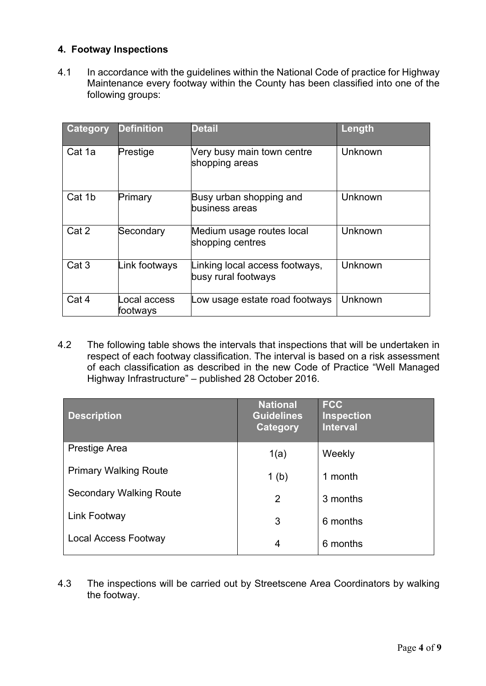## **4. Footway Inspections**

4.1 In accordance with the guidelines within the National Code of practice for Highway Maintenance every footway within the County has been classified into one of the following groups:

| <b>Category</b>  | <b>Definition</b>        | <b>Detail</b>                                         | Length  |
|------------------|--------------------------|-------------------------------------------------------|---------|
| Cat 1a           | Prestige                 | Very busy main town centre<br>shopping areas          | Unknown |
| Cat 1b           | Primary                  | Busy urban shopping and<br>business areas             | Unknown |
| Cat 2            | Secondary                | Medium usage routes local<br>shopping centres         | Unknown |
| Cat <sub>3</sub> | Link footways            | Linking local access footways,<br>busy rural footways | Unknown |
| Cat 4            | ocal access.<br>footways | Low usage estate road footways                        | Unknown |

4.2 The following table shows the intervals that inspections that will be undertaken in respect of each footway classification. The interval is based on a risk assessment of each classification as described in the new Code of Practice "Well Managed Highway Infrastructure" – published 28 October 2016.

| <b>Description</b>             | <b>National</b><br><b>Guidelines</b><br>Category | <b>FCC</b><br><b>Inspection</b><br><b>Interval</b> |
|--------------------------------|--------------------------------------------------|----------------------------------------------------|
| Prestige Area                  | 1(a)                                             | Weekly                                             |
| <b>Primary Walking Route</b>   | 1 <sub>(b)</sub>                                 | 1 month                                            |
| <b>Secondary Walking Route</b> | 2                                                | 3 months                                           |
| Link Footway                   | 3                                                | 6 months                                           |
| Local Access Footway           | 4                                                | 6 months                                           |

4.3 The inspections will be carried out by Streetscene Area Coordinators by walking the footway.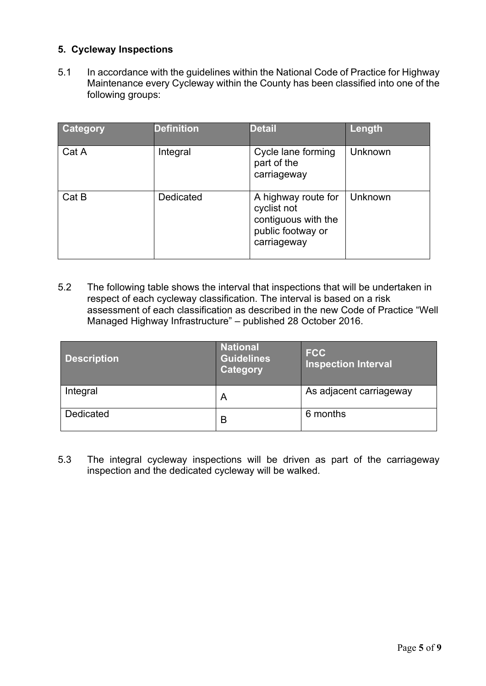## **5. Cycleway Inspections**

5.1 In accordance with the guidelines within the National Code of Practice for Highway Maintenance every Cycleway within the County has been classified into one of the following groups:

| <b>Category</b> | <b>Definition</b> | <b>Detail</b>                                                                                 | Length  |
|-----------------|-------------------|-----------------------------------------------------------------------------------------------|---------|
| Cat A           | Integral          | Cycle lane forming<br>part of the<br>carriageway                                              | Unknown |
| Cat B           | Dedicated         | A highway route for<br>cyclist not<br>contiguous with the<br>public footway or<br>carriageway | Unknown |

5.2 The following table shows the interval that inspections that will be undertaken in respect of each cycleway classification. The interval is based on a risk assessment of each classification as described in the new Code of Practice "Well Managed Highway Infrastructure" – published 28 October 2016.

| <b>Description</b> | <b>National</b><br><b>Guidelines</b><br>Category | <b>FCC</b><br><b>Inspection Interval</b> |
|--------------------|--------------------------------------------------|------------------------------------------|
| Integral           | A                                                | As adjacent carriageway                  |
| <b>Dedicated</b>   | B                                                | 6 months                                 |

5.3 The integral cycleway inspections will be driven as part of the carriageway inspection and the dedicated cycleway will be walked.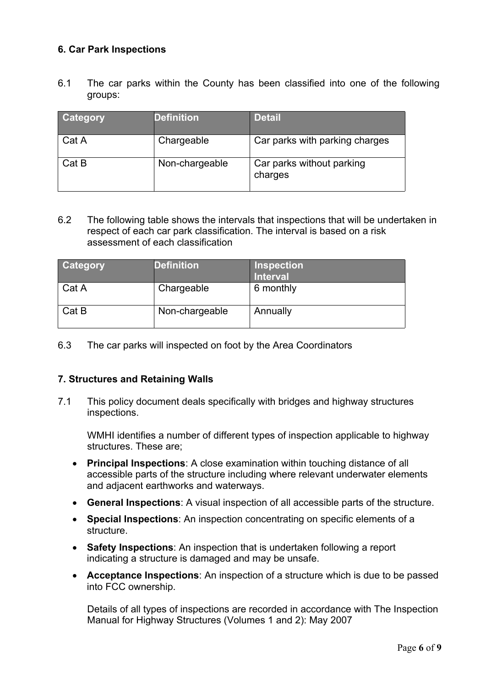## **6. Car Park Inspections**

6.1 The car parks within the County has been classified into one of the following groups:

| Category | <b>Definition</b> | <b>Detail</b>                        |
|----------|-------------------|--------------------------------------|
| Cat A    | Chargeable        | Car parks with parking charges       |
| Cat B    | Non-chargeable    | Car parks without parking<br>charges |

6.2 The following table shows the intervals that inspections that will be undertaken in respect of each car park classification. The interval is based on a risk assessment of each classification

| <b>Category</b> | <b>Definition</b> | <b>Inspection</b><br><b>Interval</b> |
|-----------------|-------------------|--------------------------------------|
| Cat A           | Chargeable        | 6 monthly                            |
| Cat B           | Non-chargeable    | Annually                             |

6.3 The car parks will inspected on foot by the Area Coordinators

### **7. Structures and Retaining Walls**

7.1 This policy document deals specifically with bridges and highway structures inspections.

WMHI identifies a number of different types of inspection applicable to highway structures. These are;

- **Principal Inspections**: A close examination within touching distance of all accessible parts of the structure including where relevant underwater elements and adjacent earthworks and waterways.
- **General Inspections**: A visual inspection of all accessible parts of the structure.
- **Special Inspections**: An inspection concentrating on specific elements of a structure.
- **Safety Inspections**: An inspection that is undertaken following a report indicating a structure is damaged and may be unsafe.
- **Acceptance Inspections**: An inspection of a structure which is due to be passed into FCC ownership.

Details of all types of inspections are recorded in accordance with The Inspection Manual for Highway Structures (Volumes 1 and 2): May 2007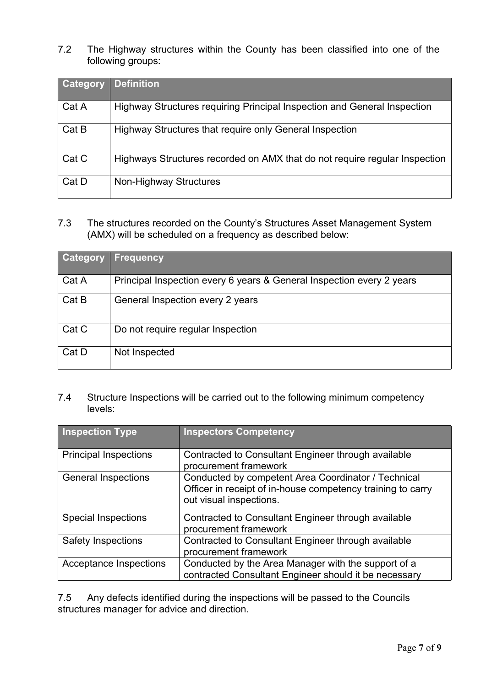7.2 The Highway structures within the County has been classified into one of the following groups:

| <b>Category</b> | <b>Definition</b>                                                          |
|-----------------|----------------------------------------------------------------------------|
| Cat A           | Highway Structures requiring Principal Inspection and General Inspection   |
| Cat B           | Highway Structures that require only General Inspection                    |
| Cat C           | Highways Structures recorded on AMX that do not require regular Inspection |
| Cat D           | Non-Highway Structures                                                     |

7.3 The structures recorded on the County's Structures Asset Management System (AMX) will be scheduled on a frequency as described below:

| <b>Category</b> | <b>Frequency</b>                                                      |
|-----------------|-----------------------------------------------------------------------|
| Cat A           | Principal Inspection every 6 years & General Inspection every 2 years |
| Cat B           | General Inspection every 2 years                                      |
| Cat C           | Do not require regular Inspection                                     |
| Cat D           | Not Inspected                                                         |

7.4 Structure Inspections will be carried out to the following minimum competency levels:

| <b>Inspection Type</b>        | <b>Inspectors Competency</b>                                                                                                                  |
|-------------------------------|-----------------------------------------------------------------------------------------------------------------------------------------------|
| <b>Principal Inspections</b>  | Contracted to Consultant Engineer through available<br>procurement framework                                                                  |
| <b>General Inspections</b>    | Conducted by competent Area Coordinator / Technical<br>Officer in receipt of in-house competency training to carry<br>out visual inspections. |
| <b>Special Inspections</b>    | Contracted to Consultant Engineer through available<br>procurement framework                                                                  |
| <b>Safety Inspections</b>     | Contracted to Consultant Engineer through available<br>procurement framework                                                                  |
| <b>Acceptance Inspections</b> | Conducted by the Area Manager with the support of a<br>contracted Consultant Engineer should it be necessary                                  |

7.5 Any defects identified during the inspections will be passed to the Councils structures manager for advice and direction.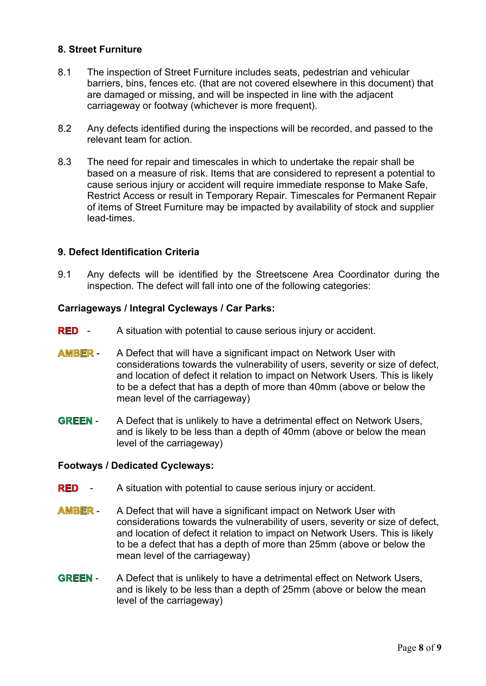## **8. Street Furniture**

- 8.1 The inspection of Street Furniture includes seats, pedestrian and vehicular barriers, bins, fences etc. (that are not covered elsewhere in this document) that are damaged or missing, and will be inspected in line with the adjacent carriageway or footway (whichever is more frequent).
- 8.2 Any defects identified during the inspections will be recorded, and passed to the relevant team for action.
- 8.3 The need for repair and timescales in which to undertake the repair shall be based on a measure of risk. Items that are considered to represent a potential to cause serious injury or accident will require immediate response to Make Safe, Restrict Access or result in Temporary Repair. Timescales for Permanent Repair of items of Street Furniture may be impacted by availability of stock and supplier lead-times.

### **9. Defect Identification Criteria**

9.1 Any defects will be identified by the Streetscene Area Coordinator during the inspection. The defect will fall into one of the following categories:

#### **Carriageways / Integral Cycleways / Car Parks:**

- **RED** A situation with potential to cause serious injury or accident.
- **AMBER** A Defect that will have a significant impact on Network User with considerations towards the vulnerability of users, severity or size of defect, and location of defect it relation to impact on Network Users. This is likely to be a defect that has a depth of more than 40mm (above or below the mean level of the carriageway)
- **GREEN** A Defect that is unlikely to have a detrimental effect on Network Users, and is likely to be less than a depth of 40mm (above or below the mean level of the carriageway)

#### **Footways / Dedicated Cycleways:**

- **RED** A situation with potential to cause serious injury or accident.
- **AMBER** A Defect that will have a significant impact on Network User with considerations towards the vulnerability of users, severity or size of defect, and location of defect it relation to impact on Network Users. This is likely to be a defect that has a depth of more than 25mm (above or below the mean level of the carriageway)
- **GREEN** A Defect that is unlikely to have a detrimental effect on Network Users, and is likely to be less than a depth of 25mm (above or below the mean level of the carriageway)